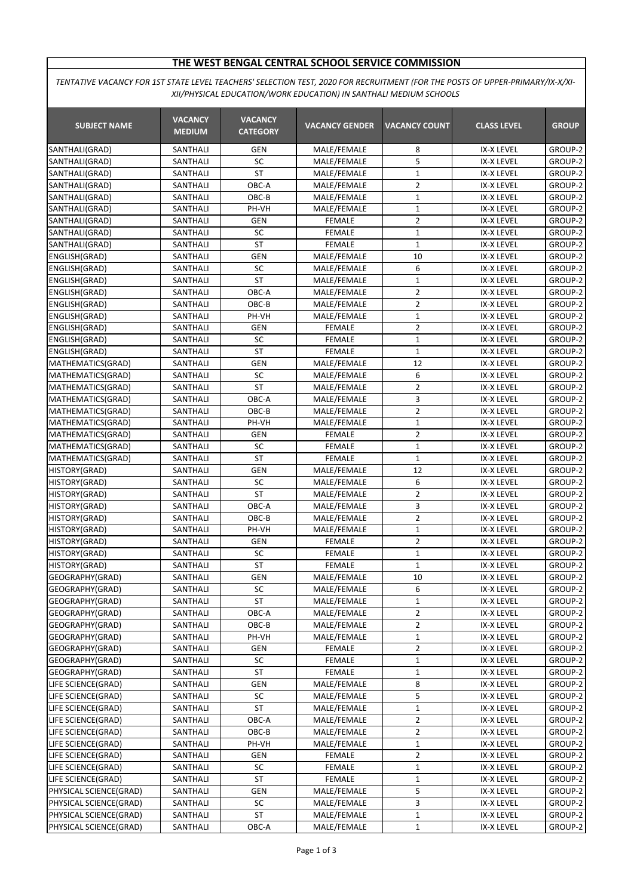## **THE WEST BENGAL CENTRAL SCHOOL SERVICE COMMISSION**

*TENTATIVE VACANCY FOR 1ST STATE LEVEL TEACHERS' SELECTION TEST, 2020 FOR RECRUITMENT (FOR THE POSTS OF UPPER-PRIMARY/IX-X/XI-XII/PHYSICAL EDUCATION/WORK EDUCATION) IN SANTHALI MEDIUM SCHOOLS*

| <b>SUBJECT NAME</b>                          | <b>VACANCY</b><br><b>MEDIUM</b> | <b>VACANCY</b><br><b>CATEGORY</b> | <b>VACANCY GENDER</b>        | <b>VACANCY COUNT</b> | <b>CLASS LEVEL</b>       | <b>GROUP</b>       |
|----------------------------------------------|---------------------------------|-----------------------------------|------------------------------|----------------------|--------------------------|--------------------|
| SANTHALI(GRAD)                               | SANTHALI                        | GEN                               | MALE/FEMALE                  | 8                    | IX-X LEVEL               | GROUP-2            |
| SANTHALI(GRAD)                               | SANTHALI                        | SC                                | MALE/FEMALE                  | 5                    | IX-X LEVEL               | GROUP-2            |
| SANTHALI(GRAD)                               | SANTHALI                        | <b>ST</b>                         | MALE/FEMALE                  | $\mathbf{1}$         | IX-X LEVEL               | GROUP-2            |
| SANTHALI(GRAD)                               | SANTHALI                        | OBC-A                             | MALE/FEMALE                  | $\overline{2}$       | IX-X LEVEL               | GROUP-2            |
| SANTHALI(GRAD)                               | SANTHALI                        | OBC-B                             | MALE/FEMALE                  | $\mathbf{1}$         | IX-X LEVEL               | GROUP-2            |
| SANTHALI(GRAD)                               | SANTHALI                        | PH-VH                             | MALE/FEMALE                  | $\mathbf 1$          | IX-X LEVEL               | GROUP-2            |
| SANTHALI(GRAD)                               | SANTHALI                        | GEN                               | <b>FEMALE</b>                | $\overline{2}$       | IX-X LEVEL               | GROUP-2            |
| SANTHALI(GRAD)                               | SANTHALI                        | SC                                | <b>FEMALE</b>                | $\mathbf{1}$         | IX-X LEVEL               | GROUP-2            |
| SANTHALI(GRAD)                               | SANTHALI                        | ST                                | <b>FEMALE</b>                | 1                    | <b>IX-X LEVEL</b>        | GROUP-2            |
| ENGLISH(GRAD)                                | SANTHALI                        | <b>GEN</b>                        | MALE/FEMALE                  | 10                   | IX-X LEVEL               | GROUP-2            |
| ENGLISH(GRAD)                                | SANTHALI                        | SC                                | MALE/FEMALE                  | 6                    | IX-X LEVEL               | GROUP-2            |
| ENGLISH(GRAD)                                | SANTHALI                        | <b>ST</b>                         | MALE/FEMALE                  | $\mathbf 1$          | IX-X LEVEL               | GROUP-2            |
| ENGLISH(GRAD)                                | SANTHALI                        | OBC-A                             | MALE/FEMALE                  | $\overline{2}$       | IX-X LEVEL               | GROUP-2            |
| ENGLISH(GRAD)                                | SANTHALI                        | OBC-B                             | MALE/FEMALE                  | $\overline{2}$       | IX-X LEVEL               | GROUP-2            |
| ENGLISH(GRAD)                                | SANTHALI                        | PH-VH                             | MALE/FEMALE                  | $\mathbf{1}$         | IX-X LEVEL               | GROUP-2            |
| ENGLISH(GRAD)                                | SANTHALI                        | <b>GEN</b>                        | <b>FEMALE</b>                | $\overline{2}$       | IX-X LEVEL               | GROUP-2            |
| ENGLISH(GRAD)                                | SANTHALI                        | SC                                | <b>FEMALE</b>                | $\mathbf 1$          | IX-X LEVEL               | GROUP-2            |
| ENGLISH(GRAD)                                | SANTHALI                        | <b>ST</b>                         | <b>FEMALE</b>                | $\mathbf{1}$         | IX-X LEVEL               | GROUP-2            |
| MATHEMATICS(GRAD)                            | SANTHALI                        | <b>GEN</b>                        | MALE/FEMALE                  | $\overline{12}$      | <b>IX-X LEVEL</b>        | GROUP-2            |
| MATHEMATICS(GRAD)                            | SANTHALI                        | SC                                | MALE/FEMALE                  | 6                    | IX-X LEVEL               | GROUP-2            |
| MATHEMATICS(GRAD)                            | SANTHALI                        | <b>ST</b>                         | MALE/FEMALE                  | $\overline{2}$       | IX-X LEVEL               | GROUP-2            |
| MATHEMATICS(GRAD)                            | SANTHALI                        | OBC-A                             | MALE/FEMALE                  | 3                    | IX-X LEVEL               | GROUP-2            |
| MATHEMATICS(GRAD)                            | SANTHALI                        | OBC-B                             | MALE/FEMALE                  | 2                    | IX-X LEVEL               | GROUP-2            |
| MATHEMATICS(GRAD)                            | SANTHALI                        | PH-VH                             | MALE/FEMALE                  | $\mathbf 1$          | IX-X LEVEL               | GROUP-2            |
| MATHEMATICS(GRAD)                            | SANTHALI                        | GEN                               | <b>FEMALE</b>                | $\overline{2}$       | IX-X LEVEL               | GROUP-2            |
| MATHEMATICS(GRAD)                            | SANTHALI                        | SC                                | <b>FEMALE</b>                | $\mathbf 1$          | IX-X LEVEL               | GROUP-2            |
| MATHEMATICS(GRAD)                            | SANTHALI                        | <b>ST</b>                         | <b>FEMALE</b>                | $\mathbf 1$          | IX-X LEVEL               | GROUP-2            |
| HISTORY(GRAD)                                | SANTHALI                        | <b>GEN</b>                        | MALE/FEMALE                  | 12                   | IX-X LEVEL               | GROUP-2            |
| HISTORY(GRAD)                                | SANTHALI                        | SC                                | MALE/FEMALE                  | 6                    | IX-X LEVEL               | GROUP-2            |
| HISTORY(GRAD)                                | SANTHALI                        | <b>ST</b>                         | MALE/FEMALE                  | $\overline{2}$       | IX-X LEVEL               | GROUP-2            |
| HISTORY(GRAD)                                | SANTHALI                        | OBC-A                             | MALE/FEMALE                  | 3                    | IX-X LEVEL               | GROUP-2            |
| HISTORY(GRAD)                                | SANTHALI                        | $OBC-B$                           | MALE/FEMALE                  | $\overline{2}$       | IX-X LEVEL               | GROUP-2            |
| HISTORY(GRAD)                                | SANTHALI                        | PH-VH                             | MALE/FEMALE                  | $\mathbf 1$          | <b>IX-X LEVEL</b>        | GROUP-2            |
| HISTORY(GRAD)                                | SANTHALI                        | <b>GEN</b>                        | <b>FEMALE</b>                | $\overline{2}$       | IX-X LEVEL               | GROUP-2            |
| HISTORY(GRAD)                                | SANTHALI                        | SC                                | <b>FEMALE</b>                | $\mathbf 1$          | IX-X LEVEL               | GROUP-2            |
| HISTORY(GRAD)                                | SANTHALI                        | <b>ST</b>                         | <b>FEMALE</b>                | $\mathbf{1}$         | IX-X LEVEL               | GROUP-2            |
| GEOGRAPHY(GRAD)                              | SANTHALI                        | <b>GEN</b>                        | MALE/FEMALE                  | 10                   | IX-X LEVEL               | GROUP-2            |
| GEOGRAPHY(GRAD)                              | SANTHALI                        | SC                                | MALE/FEMALE                  | 6                    | IX-X LEVEL               | GROUP-2            |
| GEOGRAPHY(GRAD)                              | SANTHALI                        | ST                                | MALE/FEMALE                  | 1                    | IX-X LEVEL               | GROUP-2            |
| GEOGRAPHY(GRAD)                              | SANTHALI                        | OBC-A                             | MALE/FEMALE                  | 2                    | IX-X LEVEL               | GROUP-2            |
| GEOGRAPHY(GRAD)                              | SANTHALI                        | OBC-B                             | MALE/FEMALE                  | 2                    | IX-X LEVEL               | GROUP-2            |
| GEOGRAPHY(GRAD)                              | SANTHALI                        | PH-VH                             | MALE/FEMALE                  | $\mathbf{1}$         | IX-X LEVEL               | GROUP-2            |
| GEOGRAPHY(GRAD)                              | SANTHALI                        | GEN                               | <b>FEMALE</b>                | $\overline{2}$       | IX-X LEVEL               | GROUP-2            |
| GEOGRAPHY(GRAD)                              | SANTHALI                        | <b>SC</b>                         | FEMALE                       | 1                    | IX-X LEVEL               | GROUP-2            |
| GEOGRAPHY(GRAD)                              | SANTHALI                        | <b>ST</b>                         | <b>FEMALE</b>                | 1                    | IX-X LEVEL               | GROUP-2            |
| LIFE SCIENCE(GRAD)                           | SANTHALI                        | GEN                               | MALE/FEMALE                  | 8                    | IX-X LEVEL               | GROUP-2            |
| LIFE SCIENCE(GRAD)                           | SANTHALI                        | SC                                | MALE/FEMALE                  | 5                    | IX-X LEVEL               | GROUP-2            |
| LIFE SCIENCE(GRAD)                           | SANTHALI                        | ST                                | MALE/FEMALE                  | $\mathbf{1}$         | IX-X LEVEL               | GROUP-2            |
| LIFE SCIENCE(GRAD)<br>LIFE SCIENCE(GRAD)     | SANTHALI                        | OBC-A                             | MALE/FEMALE                  | $\overline{2}$       | IX-X LEVEL               | GROUP-2            |
| LIFE SCIENCE(GRAD)                           | SANTHALI                        | OBC-B<br>PH-VH                    | MALE/FEMALE                  | $\overline{2}$       | IX-X LEVEL<br>IX-X LEVEL | GROUP-2            |
|                                              | SANTHALI                        |                                   | MALE/FEMALE                  | 1                    |                          | GROUP-2            |
| LIFE SCIENCE(GRAD)                           | SANTHALI                        | GEN<br>SC                         | FEMALE                       | 2                    | IX-X LEVEL               | GROUP-2            |
| LIFE SCIENCE(GRAD)                           | SANTHALI                        | <b>ST</b>                         | FEMALE                       | 1                    | IX-X LEVEL               | GROUP-2            |
| LIFE SCIENCE(GRAD)<br>PHYSICAL SCIENCE(GRAD) | SANTHALI<br>SANTHALI            | GEN                               | <b>FEMALE</b><br>MALE/FEMALE | 1<br>5               | IX-X LEVEL<br>IX-X LEVEL | GROUP-2<br>GROUP-2 |
| PHYSICAL SCIENCE(GRAD)                       | SANTHALI                        | SC                                | MALE/FEMALE                  | 3                    | IX-X LEVEL               | GROUP-2            |
| PHYSICAL SCIENCE(GRAD)                       | SANTHALI                        | ST                                | MALE/FEMALE                  | $\mathbf{1}$         | IX-X LEVEL               | GROUP-2            |
| PHYSICAL SCIENCE(GRAD)                       | SANTHALI                        | OBC-A                             | MALE/FEMALE                  | 1                    | IX-X LEVEL               | GROUP-2            |
|                                              |                                 |                                   |                              |                      |                          |                    |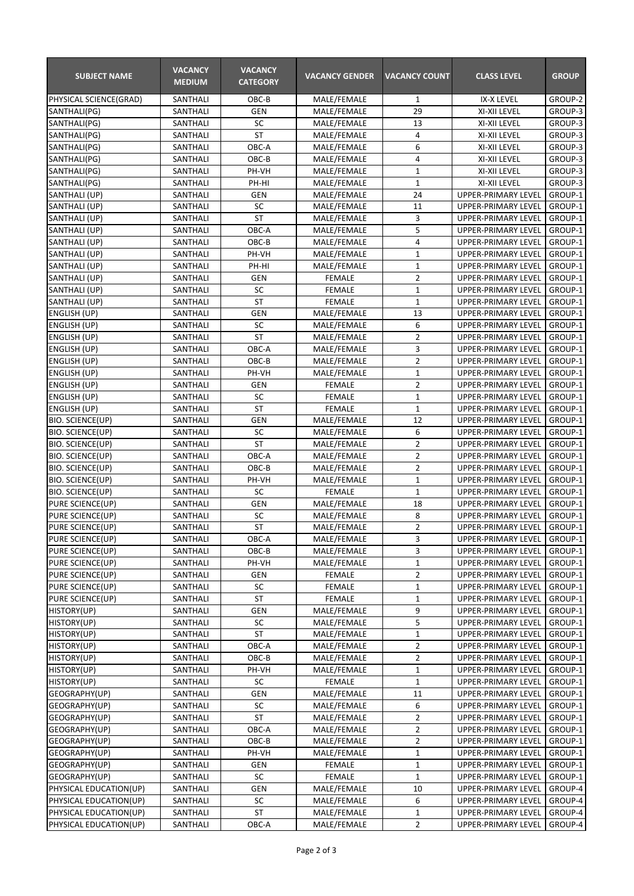| <b>SUBJECT NAME</b>                        | <b>VACANCY</b><br><b>MEDIUM</b> | <b>VACANCY</b><br><b>CATEGORY</b> | <b>VACANCY GENDER</b>      | <b>VACANCY COUNT</b>          | <b>CLASS LEVEL</b>                                | <b>GROUP</b>       |
|--------------------------------------------|---------------------------------|-----------------------------------|----------------------------|-------------------------------|---------------------------------------------------|--------------------|
| PHYSICAL SCIENCE(GRAD)                     | SANTHALI                        | OBC-B                             | MALE/FEMALE                | $\mathbf{1}$                  | IX-X LEVEL                                        | GROUP-2            |
| SANTHALI(PG)                               | SANTHALI                        | <b>GEN</b>                        | MALE/FEMALE                | 29                            | XI-XII LEVEL                                      | GROUP-3            |
| SANTHALI(PG)                               | SANTHALI                        | SC                                | MALE/FEMALE                | 13                            | XI-XII LEVEL                                      | GROUP-3            |
| SANTHALI(PG)                               | SANTHALI                        | <b>ST</b>                         | MALE/FEMALE                | 4                             | XI-XII LEVEL                                      | GROUP-3            |
| SANTHALI(PG)                               | SANTHALI                        | OBC-A                             | MALE/FEMALE                | 6                             | XI-XII LEVEL                                      | GROUP-3            |
| SANTHALI(PG)                               | SANTHALI                        | OBC-B                             | MALE/FEMALE                | 4                             | XI-XII LEVEL                                      | GROUP-3            |
| SANTHALI(PG)                               | SANTHALI                        | PH-VH                             | MALE/FEMALE                | $\mathbf 1$                   | XI-XII LEVEL                                      | GROUP-3            |
| SANTHALI(PG)                               | SANTHALI                        | PH-HI                             | MALE/FEMALE                | $\mathbf 1$                   | XI-XII LEVEL                                      | GROUP-3            |
| SANTHALI (UP)                              | SANTHALI                        | <b>GEN</b>                        | MALE/FEMALE                | 24                            | UPPER-PRIMARY LEVEL                               | GROUP-1            |
| SANTHALI (UP)                              | SANTHALI                        | SC                                | MALE/FEMALE                | 11                            | UPPER-PRIMARY LEVEL                               | GROUP-1            |
| SANTHALI (UP)                              | SANTHALI                        | <b>ST</b>                         | MALE/FEMALE                | 3                             | UPPER-PRIMARY LEVEL                               | GROUP-1            |
| SANTHALI (UP)                              | SANTHALI                        | OBC-A                             | MALE/FEMALE                | 5                             | UPPER-PRIMARY LEVEL                               | GROUP-1            |
| SANTHALI (UP)                              | SANTHALI                        | OBC-B                             | MALE/FEMALE                | $\overline{4}$                | UPPER-PRIMARY LEVEL                               | GROUP-1            |
| SANTHALI (UP)                              | SANTHALI                        | PH-VH                             | MALE/FEMALE                | $\mathbf 1$                   | UPPER-PRIMARY LEVEL                               | GROUP-1            |
| SANTHALI (UP)                              | SANTHALI                        | PH-HI                             | MALE/FEMALE                | $\mathbf 1$                   | UPPER-PRIMARY LEVEL                               | GROUP-1            |
| SANTHALI (UP)                              | SANTHALI                        | <b>GEN</b>                        | <b>FEMALE</b>              | $\overline{2}$                | <b>UPPER-PRIMARY LEVEL</b>                        | GROUP-1            |
| SANTHALI (UP)                              | SANTHALI                        | SC                                | <b>FEMALE</b>              | $\mathbf 1$                   | UPPER-PRIMARY LEVEL                               | GROUP-1            |
| SANTHALI (UP)                              | SANTHALI                        | <b>ST</b>                         | <b>FEMALE</b>              | $\mathbf 1$                   | UPPER-PRIMARY LEVEL                               | GROUP-1            |
| <b>ENGLISH (UP)</b>                        | SANTHALI                        | <b>GEN</b>                        | MALE/FEMALE                | 13                            | <b>UPPER-PRIMARY LEVEL</b>                        | GROUP-1            |
| ENGLISH (UP)                               | SANTHALI                        | SC                                | MALE/FEMALE                | 6                             | <b>UPPER-PRIMARY LEVEL</b>                        | GROUP-1            |
| ENGLISH (UP)                               | SANTHALI                        | <b>ST</b><br>OBC-A                | MALE/FEMALE                | $\overline{2}$<br>3           | UPPER-PRIMARY LEVEL                               | GROUP-1            |
| ENGLISH (UP)                               | SANTHALI                        |                                   | MALE/FEMALE                |                               | UPPER-PRIMARY LEVEL                               | GROUP-1            |
| <b>ENGLISH (UP)</b><br><b>ENGLISH (UP)</b> | SANTHALI<br>SANTHALI            | OBC-B<br>PH-VH                    | MALE/FEMALE<br>MALE/FEMALE | $\overline{2}$<br>$\mathbf 1$ | UPPER-PRIMARY LEVEL                               | GROUP-1<br>GROUP-1 |
| <b>ENGLISH (UP)</b>                        | SANTHALI                        | <b>GEN</b>                        | <b>FEMALE</b>              | $\overline{2}$                | UPPER-PRIMARY LEVEL<br><b>UPPER-PRIMARY LEVEL</b> | GROUP-1            |
| <b>ENGLISH (UP)</b>                        | SANTHALI                        | SC                                | <b>FEMALE</b>              | $\mathbf 1$                   | UPPER-PRIMARY LEVEL                               | GROUP-1            |
| ENGLISH (UP)                               | SANTHALI                        | <b>ST</b>                         | <b>FEMALE</b>              | $\mathbf{1}$                  | UPPER-PRIMARY LEVEL                               | GROUP-1            |
| BIO. SCIENCE(UP)                           | SANTHALI                        | <b>GEN</b>                        | MALE/FEMALE                | 12                            | UPPER-PRIMARY LEVEL                               | GROUP-1            |
| <b>BIO. SCIENCE(UP)</b>                    | SANTHALI                        | SC                                | MALE/FEMALE                | 6                             | UPPER-PRIMARY LEVEL                               | GROUP-1            |
| <b>BIO. SCIENCE(UP)</b>                    | SANTHALI                        | <b>ST</b>                         | MALE/FEMALE                | $\mathbf 2$                   | UPPER-PRIMARY LEVEL                               | GROUP-1            |
| <b>BIO. SCIENCE(UP)</b>                    | SANTHALI                        | OBC-A                             | MALE/FEMALE                | $\overline{2}$                | UPPER-PRIMARY LEVEL                               | GROUP-1            |
| <b>BIO. SCIENCE(UP)</b>                    | SANTHALI                        | OBC-B                             | MALE/FEMALE                | $\overline{2}$                | <b>UPPER-PRIMARY LEVEL</b>                        | GROUP-1            |
| <b>BIO. SCIENCE(UP)</b>                    | SANTHALI                        | PH-VH                             | MALE/FEMALE                | $\mathbf{1}$                  | <b>UPPER-PRIMARY LEVEL</b>                        | GROUP-1            |
| <b>BIO. SCIENCE(UP)</b>                    | SANTHALI                        | SC                                | <b>FEMALE</b>              | 1                             | <b>UPPER-PRIMARY LEVEL</b>                        | GROUP-1            |
| PURE SCIENCE(UP)                           | SANTHALI                        | <b>GEN</b>                        | MALE/FEMALE                | 18                            | UPPER-PRIMARY LEVEL                               | GROUP-1            |
| PURE SCIENCE(UP)                           | SANTHALI                        | SC                                | MALE/FEMALE                | 8                             | UPPER-PRIMARY LEVEL                               | GROUP-1            |
| PURE SCIENCE(UP)                           | SANTHALI                        | <b>ST</b>                         | MALE/FEMALE                | $\overline{2}$                | UPPER-PRIMARY LEVEL                               | GROUP-1            |
| PURE SCIENCE(UP)                           | SANTHALI                        | OBC-A                             | MALE/FEMALE                | 3                             | UPPER-PRIMARY LEVEL                               | GROUP-1            |
| PURE SCIENCE(UP)                           | SANTHALI                        | OBC-B                             | MALE/FEMALE                | 3                             | UPPER-PRIMARY LEVEL                               | GROUP-1            |
| PURE SCIENCE(UP)                           | SANTHALI                        | PH-VH                             | MALE/FEMALE                | 1                             | UPPER-PRIMARY LEVEL                               | GROUP-1            |
| PURE SCIENCE(UP)                           | SANTHALI                        | GEN                               | FEMALE                     | 2                             | UPPER-PRIMARY LEVEL                               | GROUP-1            |
| PURE SCIENCE(UP)                           | SANTHALI                        | SC                                | FEMALE                     | 1                             | UPPER-PRIMARY LEVEL                               | GROUP-1            |
| PURE SCIENCE(UP)                           | SANTHALI                        | <b>ST</b>                         | <b>FEMALE</b>              | $\mathbf 1$                   | UPPER-PRIMARY LEVEL                               | GROUP-1            |
| HISTORY(UP)                                | SANTHALI                        | GEN                               | MALE/FEMALE                | 9                             | UPPER-PRIMARY LEVEL                               | GROUP-1            |
| <b>HISTORY(UP)</b>                         | SANTHALI                        | SC                                | MALE/FEMALE                | 5                             | UPPER-PRIMARY LEVEL                               | GROUP-1            |
| <b>HISTORY(UP)</b>                         | SANTHALI                        | <b>ST</b>                         | MALE/FEMALE                | $\mathbf 1$                   | UPPER-PRIMARY LEVEL                               | GROUP-1            |
| HISTORY(UP)                                | SANTHALI                        | OBC-A                             | MALE/FEMALE                | $\overline{2}$                | UPPER-PRIMARY LEVEL                               | GROUP-1            |
| HISTORY(UP)                                | SANTHALI                        | OBC-B                             | MALE/FEMALE                | 2                             | UPPER-PRIMARY LEVEL                               | GROUP-1            |
| HISTORY(UP)                                | SANTHALI                        | PH-VH                             | MALE/FEMALE                | 1                             | UPPER-PRIMARY LEVEL                               | GROUP-1            |
| <b>HISTORY(UP)</b>                         | SANTHALI                        | SC                                | <b>FEMALE</b>              | $\mathbf 1$                   | UPPER-PRIMARY LEVEL                               | GROUP-1            |
| GEOGRAPHY(UP)                              | SANTHALI                        | GEN                               | MALE/FEMALE                | 11                            | UPPER-PRIMARY LEVEL                               | GROUP-1            |
| GEOGRAPHY(UP)                              | SANTHALI                        | SC                                | MALE/FEMALE                | 6                             | UPPER-PRIMARY LEVEL                               | GROUP-1            |
| GEOGRAPHY(UP)                              | SANTHALI                        | <b>ST</b>                         | MALE/FEMALE                | $\overline{2}$                | UPPER-PRIMARY LEVEL                               | GROUP-1            |
| GEOGRAPHY(UP)                              | SANTHALI                        | OBC-A                             | MALE/FEMALE                | $\overline{2}$                | UPPER-PRIMARY LEVEL                               | GROUP-1            |
| GEOGRAPHY(UP)                              | SANTHALI                        | OBC-B                             | MALE/FEMALE                | $\overline{2}$                | UPPER-PRIMARY LEVEL                               | GROUP-1            |
| GEOGRAPHY(UP)                              | SANTHALI                        | PH-VH                             | MALE/FEMALE                | 1                             | UPPER-PRIMARY LEVEL                               | GROUP-1            |
| GEOGRAPHY(UP)                              | SANTHALI                        | GEN                               | FEMALE                     | $\mathbf 1$                   | UPPER-PRIMARY LEVEL                               | GROUP-1            |
| GEOGRAPHY(UP)                              | SANTHALI                        | SC                                | <b>FEMALE</b>              | $\mathbf{1}$                  | UPPER-PRIMARY LEVEL                               | GROUP-1            |
| PHYSICAL EDUCATION(UP)                     | SANTHALI                        | GEN                               | MALE/FEMALE                | 10                            | UPPER-PRIMARY LEVEL                               | GROUP-4            |
| PHYSICAL EDUCATION(UP)                     | SANTHALI                        | SC                                | MALE/FEMALE                | 6                             | UPPER-PRIMARY LEVEL                               | GROUP-4            |
| PHYSICAL EDUCATION(UP)                     | SANTHALI                        | ST                                | MALE/FEMALE                | $\mathbf{1}$                  | UPPER-PRIMARY LEVEL                               | GROUP-4            |
| PHYSICAL EDUCATION(UP)                     | SANTHALI                        | OBC-A                             | MALE/FEMALE                | $\overline{2}$                | UPPER-PRIMARY LEVEL                               | GROUP-4            |